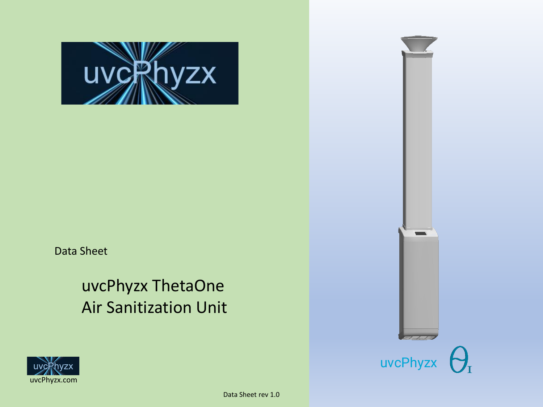

Data Sheet

# uvcPhyzx ThetaOne Air Sanitization Unit



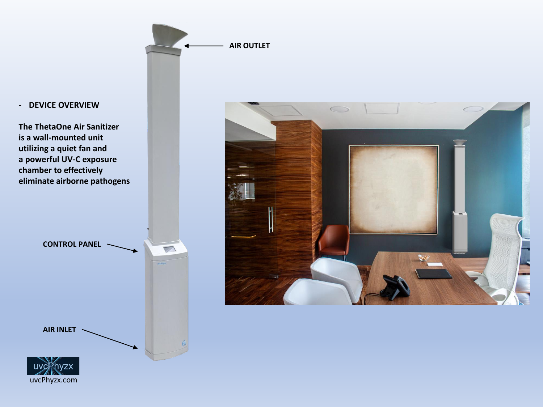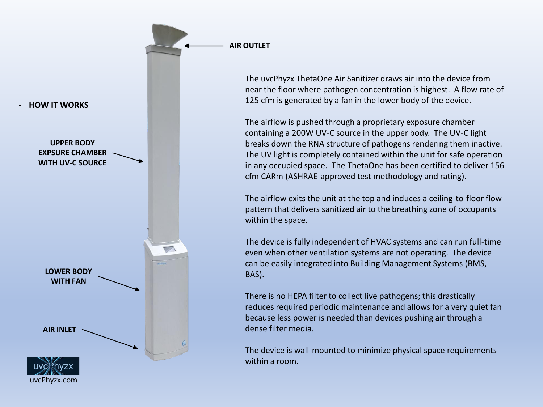

The uvcPhyzx ThetaOne Air Sanitizer draws air into the device from near the floor where pathogen concentration is highest. A flow rate of 125 cfm is generated by a fan in the lower body of the device.

**AIR OUTLET**

The airflow is pushed through a proprietary exposure chamber containing a 200W UV-C source in the upper body. The UV-C light breaks down the RNA structure of pathogens rendering them inactive. The UV light is completely contained within the unit for safe operation in any occupied space. The ThetaOne has been certified to deliver 156 cfm CARm (ASHRAE-approved test methodology and rating).

The airflow exits the unit at the top and induces a ceiling-to-floor flow pattern that delivers sanitized air to the breathing zone of occupants within the space.

The device is fully independent of HVAC systems and can run full-time even when other ventilation systems are not operating. The device can be easily integrated into Building Management Systems (BMS, BAS).

There is no HEPA filter to collect live pathogens; this drastically reduces required periodic maintenance and allows for a very quiet fan because less power is needed than devices pushing air through a dense filter media.

The device is wall-mounted to minimize physical space requirements within a room.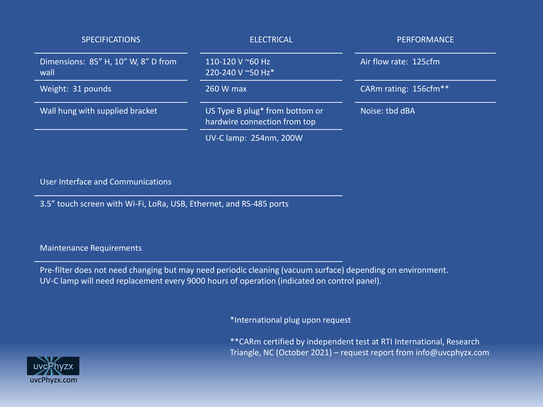| <b>SPECIFICATIONS</b>                       | <b>ELECTRICAL</b>                                              | <b>PERFORMANCE</b>                |
|---------------------------------------------|----------------------------------------------------------------|-----------------------------------|
| Dimensions: 85" H, 10" W, 8" D from<br>wall | 110-120 V ~60 Hz<br>220-240 V ~50 Hz*                          | Air flow rate: 125cfm             |
| Weight: 31 pounds                           | 260 W max                                                      | CARm rating: 156cfm <sup>**</sup> |
| Wall hung with supplied bracket             | US Type B plug* from bottom or<br>hardwire connection from top | Noise: tbd dBA                    |
|                                             | UV-C lamp: 254nm, 200W                                         |                                   |

#### User Interface and Communications

3.5" touch screen with Wi-Fi, LoRa, USB, Ethernet, and RS-485 ports

Maintenance Requirements

Pre-filter does not need changing but may need periodic cleaning (vacuum surface) depending on environment. UV-C lamp will need replacement every 9000 hours of operation (indicated on control panel).

\*International plug upon request

\*\*CARm certified by independent test at RTI International, Research Triangle, NC (October 2021) – request report from info@uvcphyzx.com